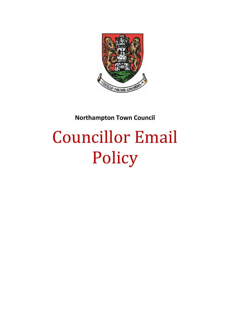

**Northampton Town Council**

# Councillor Email Policy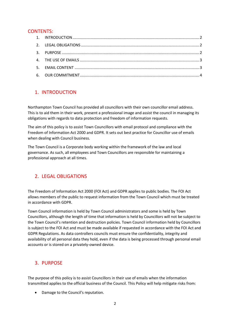#### CONTENTS:

## <span id="page-1-0"></span>1. INTRODUCTION

Northampton Town Council has provided all councillors with their own councillor email address. This is to aid them in their work, present a professional image and assist the council in managing its obligations with regards to data protection and freedom of information requests.

The aim of this policy is to assist Town Councillors with email protocol and compliance with the Freedom of Information Act 2000 and GDPR. It sets out best practice for Councillor use of emails when dealing with Council business.

The Town Council is a Corporate body working within the framework of the law and local governance. As such, all employees and Town Councillors are responsible for maintaining a professional approach at all times.

### <span id="page-1-1"></span>2. LEGAL OBLIGATIONS

The Freedom of Information Act 2000 (FOI Act) and GDPR applies to public bodies. The FOI Act allows members of the public to request information from the Town Council which must be treated in accordance with GDPR.

Town Council information is held by Town Council administrators and some is held by Town Councillors, although the length of time that information is held by Councillors will not be subject to the Town Council's retention and destruction policies. Town Council information held by Councillors is subject to the FOI Act and must be made available if requested in accordance with the FOI Act and GDPR Regulations. As data controllers councils must ensure the confidentiality, integrity and availability of all personal data they hold, even if the data is being processed through personal email accounts or is stored on a privately-owned device.

### <span id="page-1-2"></span>3. PURPOSE

The purpose of this policy is to assist Councillors in their use of emails when the information transmitted applies to the official business of the Council. This Policy will help mitigate risks from:

• Damage to the Council's reputation.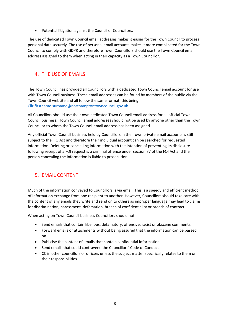Potential litigation against the Council or Councillors.

The use of dedicated Town Council email addresses makes it easier for the Town Council to process personal data securely. The use of personal email accounts makes it more complicated for the Town Council to comply with GDPR and therefore Town Councillors should use the Town Council email address assigned to them when acting in their capacity as a Town Councillor.

## <span id="page-2-0"></span>4. THE USE OF EMAILS

The Town Council has provided all Councillors with a dedicated Town Council email account for use with Town Council business. These email addresses can be found by members of the public via the Town Council website and all follow the same format, this being [Cllr.firstname.surname@northamptontowncouncil.gov.uk.](mailto:Cllr.firstname.surname@northamptontowncouncil.gov.uk)

All Councillors should use their own dedicated Town Council email address for all official Town Council business. Town Council email addresses should not be used by anyone other than the Town Councillor to whom the Town Council email address has been assigned.

Any official Town Council business held by Councillors in their own private email accounts is still subject to the FIO Act and therefore their individual account can be searched for requested information. Deleting or concealing information with the intention of preventing its disclosure following receipt of a FOI request is a criminal offence under section 77 of the FOI Act and the person concealing the information is liable to prosecution.

### <span id="page-2-1"></span>5. EMAIL CONTENT

Much of the information conveyed to Councillors is via email. This is a speedy and efficient method of information exchange from one recipient to another. However, Councillors should take care with the content of any emails they write and send on to others as improper language may lead to claims for discrimination, harassment, defamation, breach of confidentiality or breach of contract.

When acting on Town Council business Councillors should not:

- Send emails that contain libellous, defamatory, offensive, racist or obscene comments.
- Forward emails or attachments without being assured that the information can be passed on.
- Publicise the content of emails that contain confidential information.
- Send emails that could contravene the Councillors' Code of Conduct
- CC in other councillors or officers unless the subject matter specifically relates to them or their responsibilities